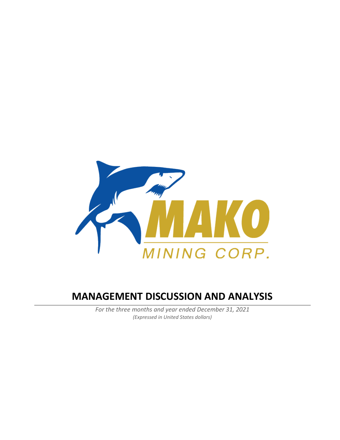

# **MANAGEMENT DISCUSSION AND ANALYSIS**

*For the three months and year ended December 31, 2021 (Expressed in United States dollars)*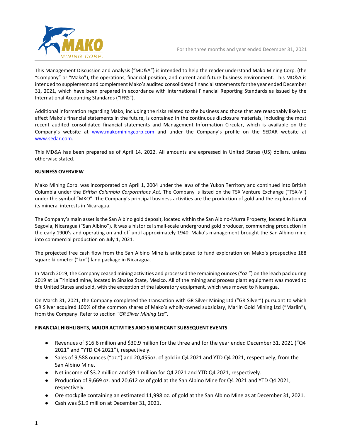

This Management Discussion and Analysis ("MD&A") is intended to help the reader understand Mako Mining Corp. (the "Company" or "Mako"), the operations, financial position, and current and future business environment. This MD&A is intended to supplement and complement Mako's audited consolidated financial statements for the year ended December 31, 2021, which have been prepared in accordance with International Financial Reporting Standards as issued by the International Accounting Standards ("IFRS").

Additional information regarding Mako, including the risks related to the business and those that are reasonably likely to affect Mako's financial statements in the future, is contained in the continuous disclosure materials, including the most recent audited consolidated financial statements and Management Information Circular, which is available on the Company's website at [www.makominingcorp.com](http://www.makominingcorp.com/) and under the Company's profile on the SEDAR website at [www.sedar.com.](http://www.sedar.com/)

This MD&A has been prepared as of April 14, 2022. All amounts are expressed in United States (US) dollars, unless otherwise stated.

## **BUSINESS OVERVIEW**

Mako Mining Corp. was incorporated on April 1, 2004 under the laws of the Yukon Territory and continued into British Columbia under the *British Columbia Corporations Act.* The Company is listed on the TSX Venture Exchange ("TSX-V") under the symbol "MKO". The Company's principal business activities are the production of gold and the exploration of its mineral interests in Nicaragua.

The Company's main asset is the San Albino gold deposit, located within the San Albino-Murra Property, located in Nueva Segovia, Nicaragua ("San Albino"). It was a historical small-scale underground gold producer, commencing production in the early 1900's and operating on and off until approximately 1940. Mako's management brought the San Albino mine into commercial production on July 1, 2021.

The projected free cash flow from the San Albino Mine is anticipated to fund exploration on Mako's prospective 188 square kilometer ("km") land package in Nicaragua.

In March 2019, the Company ceased mining activities and processed the remaining ounces ("oz.") on the leach pad during 2019 at La Trinidad mine, located in Sinaloa State, Mexico. All of the mining and process plant equipment was moved to the United States and sold, with the exception of the laboratory equipment, which was moved to Nicaragua.

On March 31, 2021, the Company completed the transaction with GR Silver Mining Ltd ("GR Silver") pursuant to which GR Silver acquired 100% of the common shares of Mako's wholly-owned subsidiary, Marlin Gold Mining Ltd ("Marlin"), from the Company. Refer to section *"GR Silver Mining Ltd"*.

## **FINANCIAL HIGHLIGHTS, MAJOR ACTIVITIES AND SIGNIFICANT SUBSEQUENT EVENTS**

- Revenues of \$16.6 million and \$30.9 million for the three and for the year ended December 31, 2021 ("Q4 2021" and "YTD Q4 2021"), respectively.
- Sales of 9,588 ounces ("oz.") and 20,455oz. of gold in Q4 2021 and YTD Q4 2021, respectively, from the San Albino Mine.
- Net income of \$3.2 million and \$9.1 million for Q4 2021 and YTD Q4 2021, respectively.
- Production of 9,669 oz. and 20,612 oz of gold at the San Albino Mine for Q4 2021 and YTD Q4 2021, respectively.
- Ore stockpile containing an estimated 11,998 oz. of gold at the San Albino Mine as at December 31, 2021.
- Cash was \$1.9 million at December 31, 2021.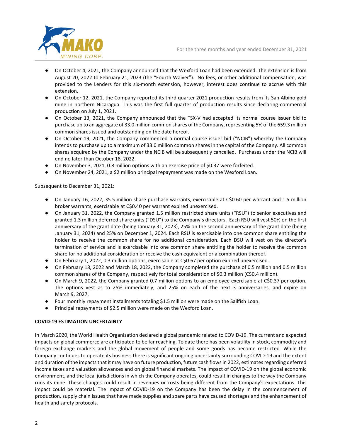

- On October 4, 2021, the Company announced that the Wexford Loan had been extended. The extension is from August 20, 2022 to February 21, 2023 (the "Fourth Waiver"). No fees, or other additional compensation, was provided to the Lenders for this six-month extension, however, interest does continue to accrue with this extension.
- On October 12, 2021, the Company reported its third quarter 2021 production results from its San Albino gold mine in northern Nicaragua. This was the first full quarter of production results since declaring commercial production on July 1, 2021.
- On October 13, 2021, the Company announced that the TSX-V had accepted its normal course issuer bid to purchase up to an aggregate of 33.0 million common shares of the Company, representing 5% of the 659.3 million common shares issued and outstanding on the date hereof.
- On October 19, 2021, the Company commenced a normal course issuer bid ("NCIB") whereby the Company intends to purchase up to a maximum of 33.0 million common shares in the capital of the Company. All common shares acquired by the Company under the NCIB will be subsequently cancelled. Purchases under the NCIB will end no later than October 18, 2022.
- On November 3, 2021, 0.8 million options with an exercise price of \$0.37 were forfeited.
- On November 24, 2021, a \$2 million principal repayment was made on the Wexford Loan.

Subsequent to December 31, 2021:

- On January 16, 2022, 35.5 million share purchase warrants, exercisable at C\$0.60 per warrant and 1.5 million broker warrants, exercisable at C\$0.40 per warrant expired unexercised.
- On January 31, 2022, the Company granted 1.5 million restricted share units ("RSU") to senior executives and granted 1.3 million deferred share units ("DSU") to the Company's directors. Each RSU will vest 50% on the first anniversary of the grant date (being January 31, 2023), 25% on the second anniversary of the grant date (being January 31, 2024) and 25% on December 1, 2024. Each RSU is exercisable into one common share entitling the holder to receive the common share for no additional consideration. Each DSU will vest on the director's termination of service and is exercisable into one common share entitling the holder to receive the common share for no additional consideration or receive the cash equivalent or a combination thereof.
- On February 1, 2022, 0.3 million options, exercisable at C\$0.67 per option expired unexercised.
- On February 18, 2022 and March 18, 2022, the Company completed the purchase of 0.5 million and 0.5 million common shares of the Company, respectively for total consideration of \$0.3 million (C\$0.4 million).
- On March 9, 2022, the Company granted 0.7 million options to an employee exercisable at C\$0.37 per option. The options vest as to 25% immediately, and 25% on each of the next 3 anniversaries, and expire on March 9, 2027.
- Four monthly repayment installments totaling \$1.5 million were made on the Sailfish Loan.
- Principal repayments of \$2.5 million were made on the Wexford Loan.

## **COVID-19 ESTIMATION UNCERTAINTY**

In March 2020, the World Health Organization declared a global pandemic related to COVID-19. The current and expected impacts on global commerce are anticipated to be far reaching. To date there has been volatility in stock, commodity and foreign exchange markets and the global movement of people and some goods has become restricted. While the Company continues to operate its business there is significant ongoing uncertainty surrounding COVID-19 and the extent and duration of the impacts that it may have on future production, future cash flows in 2022, estimates regarding deferred income taxes and valuation allowances and on global financial markets. The impact of COVID-19 on the global economic environment, and the local jurisdictions in which the Company operates, could result in changes to the way the Company runs its mine. These changes could result in revenues or costs being different from the Company's expectations. This impact could be material. The impact of COVID-19 on the Company has been the delay in the commencement of production, supply chain issues that have made supplies and spare parts have caused shortages and the enhancement of health and safety protocols.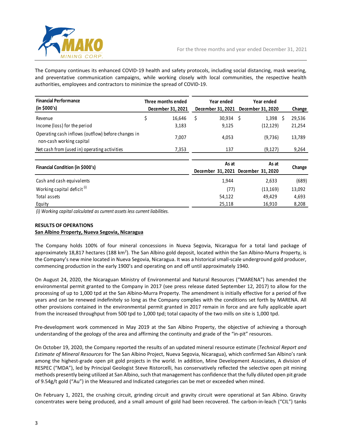

The Company continues its enhanced COVID-19 health and safety protocols, including social distancing, mask wearing, and preventative communication campaigns, while working closely with local communities, the respective health authorities, employees and contractors to minimize the spread of COVID-19.

| <b>Financial Performance</b><br>(in \$000's)                                   |    | Three months ended<br>December 31, 2021 |    | Year ended<br>December 31, 2021 | Year ended<br>December 31, 2020     |       |    | Change |
|--------------------------------------------------------------------------------|----|-----------------------------------------|----|---------------------------------|-------------------------------------|-------|----|--------|
| Revenue                                                                        | \$ | 16,646                                  | \$ | $30,934$ \$                     | 1,398                               |       | S. | 29,536 |
| Income (loss) for the period                                                   |    | 3,183                                   |    | 9,125                           | (12, 129)                           |       |    | 21,254 |
| Operating cash inflows (outflow) before changes in<br>non-cash working capital |    | 7,007                                   |    | 4,053                           | (9,736)                             |       |    | 13,789 |
| Net cash from (used in) operating activities                                   |    | 7,353                                   |    | 137                             | (9, 127)                            |       |    | 9,264  |
|                                                                                |    |                                         |    |                                 |                                     |       |    |        |
| Financial Condition (in \$000's)                                               |    |                                         |    | As at                           | December 31, 2021 December 31, 2020 | As at |    | Change |
| Cash and cash equivalents                                                      |    |                                         |    | 1,944                           | 2,633                               |       |    | (689)  |
| Working capital deficit <sup>(i)</sup>                                         |    |                                         |    | (77)                            | (13, 169)                           |       |    | 13,092 |
| Total assets                                                                   |    |                                         |    | 54,122                          | 49,429                              |       |    | 4,693  |
| Equity                                                                         |    |                                         |    | 25,118                          | 16,910                              |       |    | 8,208  |

*(i) Working capital calculated as current assets less current liabilities.*

## **RESULTS OF OPERATIONS**

## **San Albino Property, Nueva Segovia, Nicaragua**

The Company holds 100% of four mineral concessions in Nueva Segovia, Nicaragua for a total land package of approximately 18,817 hectares (188 km<sup>2</sup>). The San Albino gold deposit, located within the San Albino-Murra Property, is the Company's new mine located in Nueva Segovia, Nicaragua. It was a historical small-scale underground gold producer, commencing production in the early 1900's and operating on and off until approximately 1940.

On August 24, 2020, the Nicaraguan Ministry of Environmental and Natural Resources ("MARENA") has amended the environmental permit granted to the Company in 2017 (see press release dated September 12, 2017) to allow for the processing of up to 1,000 tpd at the San Albino-Murra Property. The amendment is initially effective for a period of five years and can be renewed indefinitely so long as the Company complies with the conditions set forth by MARENA. All other provisions contained in the environmental permit granted in 2017 remain in force and are fully applicable apart from the increased throughput from 500 tpd to 1,000 tpd; total capacity of the two mills on site is 1,000 tpd.

Pre-development work commenced in May 2019 at the San Albino Property, the objective of achieving a thorough understanding of the geology of the area and affirming the continuity and grade of the "in-pit" resources.

On October 19, 2020, the Company reported the results of an updated mineral resource estimate (*Technical Report and Estimate of Mineral Resources* for The San Albino Project, Nueva Segovia, Nicaragua), which confirmed San Albino's rank among the highest-grade open pit gold projects in the world. In addition, Mine Development Associates, A division of RESPEC ("MDA"), led by Principal Geologist Steve Ristorcelli, has conservatively reflected the selective open pit mining methods presently being utilized at San Albino, such that management has confidence that the fully diluted open pit grade of 9.54g/t gold ("Au") in the Measured and Indicated categories can be met or exceeded when mined.

On February 1, 2021, the crushing circuit, grinding circuit and gravity circuit were operational at San Albino. Gravity concentrates were being produced, and a small amount of gold had been recovered. The carbon-in-leach ("CIL") tanks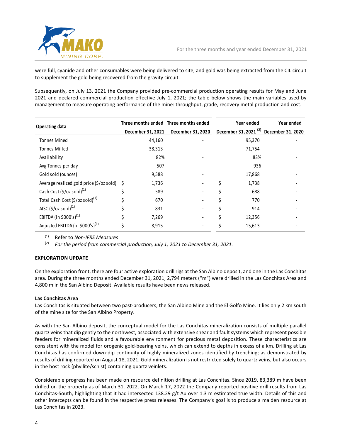

were full, cyanide and other consumables were being delivered to site, and gold was being extracted from the CIL circuit to supplement the gold being recovered from the gravity circuit.

Subsequently, on July 13, 2021 the Company provided pre-commercial production operating results for May and June 2021 and declared commercial production effective July 1, 2021; the table below shows the main variables used by management to measure operating performance of the mine: throughput, grade, recovery metal production and cost.

| <b>Operating data</b>                       |                   | Three months ended Three months ended | Year ended                                         | Year ended |
|---------------------------------------------|-------------------|---------------------------------------|----------------------------------------------------|------------|
|                                             | December 31, 2021 | December 31, 2020                     | December 31, 2021 <sup>(2)</sup> December 31, 2020 |            |
| <b>Tonnes Mined</b>                         | 44,160            |                                       | 95,370                                             |            |
| Tonnes Milled                               | 38,313            |                                       | 71,754                                             |            |
| Availability                                | 82%               |                                       | 83%                                                |            |
| Avg Tonnes per day                          | 507               |                                       | 936                                                |            |
| Gold sold (ounces)                          | 9,588             |                                       | 17,868                                             |            |
| Average realized gold price (\$/oz sold) \$ | 1,736             |                                       | 1,738                                              |            |
| Cash Cost (\$/oz sold) <sup>(1)</sup>       | 589               |                                       | 688                                                |            |
| Total Cash Cost (\$/oz sold) <sup>(1)</sup> | 670               |                                       | 770                                                |            |
| AISC $(5/oz \text{ sold})^{(1)}$            | 831               |                                       | 914                                                |            |
| EBITDA (in \$000's) <sup>(1)</sup>          | 7,269             |                                       | 12,356                                             |            |
| Adjusted EBITDA (in \$000's) <sup>(1)</sup> | 8,915             | $\overline{\phantom{a}}$              | 15,613                                             |            |

(1) Refer to *Non-IFRS Measures*

(2) *For the period from commercial production, July 1, 2021 to December 31, 2021.*

## **EXPLORATION UPDATE**

On the exploration front, there are four active exploration drill rigs at the San Albino deposit, and one in the Las Conchitas area. During the three months ended December 31, 2021, 2,794 meters ("m") were drilled in the Las Conchitas Area and 4,800 m in the San Albino Deposit. Available results have been news released.

## **Las Conchitas Area**

Las Conchitas is situated between two past-producers, the San Albino Mine and the El Golfo Mine. It lies only 2 km south of the mine site for the San Albino Property.

As with the San Albino deposit, the conceptual model for the Las Conchitas mineralization consists of multiple parallel quartz veins that dip gently to the northwest, associated with extensive shear and fault systems which represent possible feeders for mineralized fluids and a favourable environment for precious metal deposition. These characteristics are consistent with the model for orogenic gold-bearing veins, which can extend to depths in excess of a km. Drilling at Las Conchitas has confirmed down-dip continuity of highly mineralized zones identified by trenching; as demonstrated by results of drilling reported on August 18, 2021; Gold mineralization is not restricted solely to quartz veins, but also occurs in the host rock (phyllite/schist) containing quartz veinlets.

Considerable progress has been made on resource definition drilling at Las Conchitas. Since 2019, 83,389 m have been drilled on the property as of March 31, 2022. On March 17, 2022 the Company reported positive drill results from Las Conchitas-South, highlighting that it had intersected 138.29 g/t Au over 1.3 m estimated true width. Details of this and other intercepts can be found in the respective press releases. The Company's goal is to produce a maiden resource at Las Conchitas in 2023.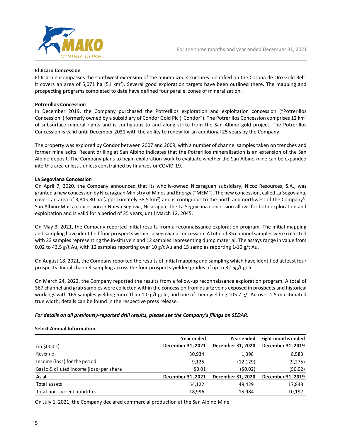

## **El Jicaro Concession**

El Jicaro encompasses the southwest extension of the mineralized structures identified on the Corona de Oro Gold Belt. It covers an area of 5,071 ha (51 km<sup>2</sup>). Several good exploration targets have been outlined there. The mapping and prospecting programs completed to date have defined four parallel zones of mineralization.

## **Potrerillos Concession**

In December 2019, the Company purchased the Potrerillos exploration and exploitation concession ("Potrerillos Concession") formerly owned by a subsidiary of Condor Gold Plc ("Condor"). The Potrerillos Concession comprises 12  $km^2$ of subsurface mineral rights and is contiguous to and along strike from the San Albino gold project. The Potrerillos Concession is valid until December 2031 with the ability to renew for an additional 25 years by the Company.

The property was explored by Condor between 2007 and 2009, with a number of channel samples taken on trenches and former mine adits. Recent drilling at San Albino indicates that the Potrerillos mineralization is an extension of the San Albino deposit. The Company plans to begin exploration work to evaluate whether the San Albino mine can be expanded into this area unless , unless constrained by finances or COVID-19.

## **La Segoviana Concession**

On April 7, 2020, the Company announced that its wholly-owned Nicaraguan subsidiary, Nicoz Resources, S.A., was granted a new concession by Nicaraguan Ministry of Mines and Energy ("MEM"). The new concession, called La Segoviana, covers an area of 3,845.80 ha (approximately 38.5 km<sup>2</sup>) and is contiguous to the north and northwest of the Company's San Albino-Murra concession in Nueva Segovia, Nicaragua. The La Segoviana concession allows for both exploration and exploitation and is valid for a period of 25 years, until March 12, 2045.

On May 3, 2021, the Company reported initial results from a reconnaissance exploration program. The initial mapping and sampling have identified four prospects within La Segoviana concession. A total of 35 channel samples were collected with 23 samples representing the in-situ vein and 12 samples representing dump material. The assays range in value from 0.02 to 43.5 g/t Au, with 12 samples reporting over 10 g/t Au and 15 samples reporting 1-10 g/t Au.

On August 18, 2021, the Company reported the results of initial mapping and sampling which have identified at least four prospects. Initial channel sampling across the four prospects yielded grades of up to 82.5g/t gold.

On March 24, 2022, the Company reported the results from a follow-up reconnaissance exploration program. A total of 367 channel and grab samples were collected within the concession from quartz veins exposed in prospects and historical workings with 169 samples yielding more than 1.0 g/t gold, and one of them yielding 105.7 g/t Au over 1.5 m estimated true width; details can be found in the respective press release.

## *For details on all previously-reported drill results, please see the Company's filings on SEDAR.*

## **Select Annual Information**

|                                         | Year ended<br>Year ended |                   | Eight months ended |
|-----------------------------------------|--------------------------|-------------------|--------------------|
| (in \$000's)                            | December 31, 2021        | December 31, 2020 | December 31, 2019  |
| Revenue                                 | 30,934                   | 1,398             | 8,583              |
| Income (loss) for the period            | 9,125                    | (12, 129)         | (9, 275)           |
| Basic & diluted income (loss) per share | \$0.01                   | (50.02)           | (50.02)            |
| As at                                   | December 31, 2021        | December 31, 2020 | December 31, 2019  |
| Total assets                            | 54,122                   | 49,429            | 17,843             |
| Total non-current liabilities           | 18,996                   | 15,984            | 10,197             |

On July 1, 2021, the Company declared commercial production at the San Albino Mine.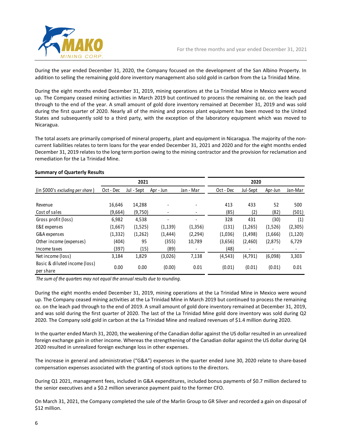

During the year ended December 31, 2020, the Company focused on the development of the San Albino Property. In addition to selling the remaining gold dore inventory management also sold gold in carbon from the La Trinidad Mine.

During the eight months ended December 31, 2019, mining operations at the La Trinidad Mine in Mexico were wound up. The Company ceased mining activities in March 2019 but continued to process the remaining oz. on the leach pad through to the end of the year. A small amount of gold dore inventory remained at December 31, 2019 and was sold during the first quarter of 2020. Nearly all of the mining and process plant equipment has been moved to the United States and subsequently sold to a third party, with the exception of the laboratory equipment which was moved to Nicaragua.

The total assets are primarily comprised of mineral property, plant and equipment in Nicaragua. The majority of the noncurrent liabilities relates to term loans for the year ended December 31, 2021 and 2020 and for the eight months ended December 31, 2019 relates to the long term portion owing to the mining contractor and the provision for reclamation and remediation for the La Trinidad Mine.

| 2021                                       |           |            |           | 2020      |           |                          |         |          |
|--------------------------------------------|-----------|------------|-----------|-----------|-----------|--------------------------|---------|----------|
| (in \$000's excluding per share)           | Oct - Dec | Jul - Sept | Apr - Jun | Jan - Mar | Oct - Dec | Jul-Sept                 | Apr-Jun | Jan-Mar  |
|                                            |           |            |           |           |           |                          |         |          |
| Revenue                                    | 16,646    | 14,288     |           | ٠         | 413       | 433                      | 52      | 500      |
| Cost of sales                              | (9,664)   | (9,750)    |           |           | (85)      | (2)                      | (82)    | (501)    |
| Gross profit (loss)                        | 6,982     | 4,538      |           |           | 328       | 431                      | (30)    | (1)      |
| E&E expenses                               | (1,667)   | (1,525)    | (1, 139)  | (1, 356)  | (131)     | (1, 265)                 | (1,526) | (2,305)  |
| G&A expenses                               | (1, 332)  | (1,262)    | (1, 444)  | (2, 294)  | (1,036)   | (1, 498)                 | (1,666) | (1, 120) |
| Other income (expenses)                    | (404)     | 95         | (355)     | 10,789    | (3,656)   | (2,460)                  | (2,875) | 6,729    |
| Income taxes                               | (397)     | (15)       | (89)      |           | (48)      | $\overline{\phantom{a}}$ |         |          |
| Net income (loss)                          | 3,184     | 1,829      | (3,026)   | 7,138     | (4, 543)  | (4, 791)                 | (6,098) | 3,303    |
| Basic & diluted income (loss)<br>per share | 0.00      | 0.00       | (0.00)    | 0.01      | (0.01)    | (0.01)                   | (0.01)  | 0.01     |

#### **Summary of Quarterly Results**

*The sum of the quarters may not equal the annual results due to rounding.*

During the eight months ended December 31, 2019, mining operations at the La Trinidad Mine in Mexico were wound up. The Company ceased mining activities at the La Trinidad Mine in March 2019 but continued to process the remaining oz. on the leach pad through to the end of 2019. A small amount of gold dore inventory remained at December 31, 2019, and was sold during the first quarter of 2020. The last of the La Trinidad Mine gold dore inventory was sold during Q2 2020. The Company sold gold in carbon at the La Trinidad Mine and realized revenues of \$1.4 million during 2020.

In the quarter ended March 31, 2020, the weakening of the Canadian dollar against the US dollar resulted in an unrealized foreign exchange gain in other income. Whereas the strengthening of the Canadian dollar against the US dollar during Q4 2020 resulted in unrealized foreign exchange loss in other expenses.

The increase in general and administrative ("G&A") expenses in the quarter ended June 30, 2020 relate to share-based compensation expenses associated with the granting of stock options to the directors.

During Q1 2021, management fees, included in G&A expenditures, included bonus payments of \$0.7 million declared to the senior executives and a \$0.2 million severance payment paid to the former CFO.

On March 31, 2021, the Company completed the sale of the Marlin Group to GR Silver and recorded a gain on disposal of \$12 million.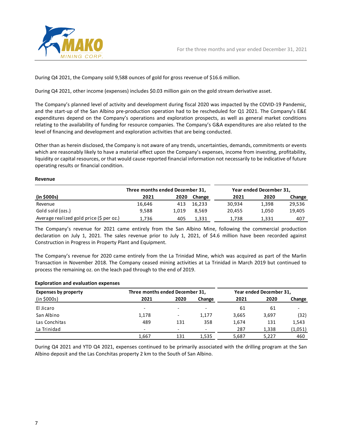

During Q4 2021, the Company sold 9,588 ounces of gold for gross revenue of \$16.6 million.

During Q4 2021, other income (expenses) includes \$0.03 million gain on the gold stream derivative asset.

The Company's planned level of activity and development during fiscal 2020 was impacted by the COVID-19 Pandemic, and the start-up of the San Albino pre-production operation had to be rescheduled for Q1 2021. The Company's E&E expenditures depend on the Company's operations and exploration prospects, as well as general market conditions relating to the availability of funding for resource companies. The Company's G&A expenditures are also related to the level of financing and development and exploration activities that are being conducted.

Other than as herein disclosed, the Company is not aware of any trends, uncertainties, demands, commitments or events which are reasonably likely to have a material effect upon the Company's expenses, income from investing, profitability, liquidity or capital resources, or that would cause reported financial information not necessarily to be indicative of future operating results or financial condition.

#### **Revenue**

| Three months ended December 31,          |        |       |        |        | Year ended December 31, |        |
|------------------------------------------|--------|-------|--------|--------|-------------------------|--------|
| (in \$000s)                              | 2021   | 2020  | Change | 2021   | 2020                    | Change |
| Revenue                                  | 16,646 | 413   | 16.233 | 30.934 | 1.398                   | 29,536 |
| Gold sold (ozs.)                         | 9.588  | 1.019 | 8.569  | 20,455 | 1.050                   | 19,405 |
| Average realized gold price (\$ per oz.) | 1.736  | 405   | 1,331  | 1,738  | 1.331                   | 407    |

The Company's revenue for 2021 came entirely from the San Albino Mine, following the commercial production declaration on July 1, 2021. The sales revenue prior to July 1, 2021, of \$4.6 million have been recorded against Construction in Progress in Property Plant and Equipment.

The Company's revenue for 2020 came entirely from the La Trinidad Mine, which was acquired as part of the Marlin Transaction in November 2018. The Company ceased mining activities at La Trinidad in March 2019 but continued to process the remaining oz. on the leach pad through to the end of 2019.

#### **Exploration and evaluation expenses**

| <b>Expenses by property</b> | Three months ended December 31, |                          |                          | Year ended December 31, |       |         |  |
|-----------------------------|---------------------------------|--------------------------|--------------------------|-------------------------|-------|---------|--|
| (in \$000s)                 | 2021                            | 2020                     | Change                   | 2021                    | 2020  | Change  |  |
| El Jicaro                   | $\overline{\phantom{0}}$        | $\overline{\phantom{0}}$ | $\overline{\phantom{0}}$ | 61                      | 61    |         |  |
| San Albino                  | 1,178                           | $\overline{\phantom{0}}$ | 1.177                    | 3,665                   | 3,697 | (32)    |  |
| Las Conchitas               | 489                             | 131                      | 358                      | 1,674                   | 131   | 1,543   |  |
| La Trinidad                 | $\overline{\phantom{0}}$        | $\overline{\phantom{0}}$ |                          | 287                     | 1,338 | (1,051) |  |
|                             | 1,667                           | 131                      | 1,535                    | 5,687                   | 5,227 | 460     |  |

During Q4 2021 and YTD Q4 2021, expenses continued to be primarily associated with the drilling program at the San Albino deposit and the Las Conchitas property 2 km to the South of San Albino.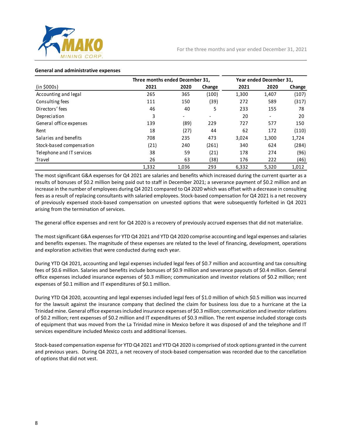

## **General and administrative expenses**

|                           | Three months ended December 31, |                          |                          |       | Year ended December 31,  |        |
|---------------------------|---------------------------------|--------------------------|--------------------------|-------|--------------------------|--------|
| (in \$000s)               | 2021                            | 2020                     | Change                   | 2021  | 2020                     | Change |
| Accounting and legal      | 265                             | 365                      | (100)                    | 1,300 | 1,407                    | (107)  |
| Consulting fees           | 111                             | 150                      | (39)                     | 272   | 589                      | (317)  |
| Directors' fees           | 46                              | 40                       | 5                        | 233   | 155                      | 78     |
| Depreciation              | 3                               | $\overline{\phantom{0}}$ | $\overline{\phantom{0}}$ | 20    | $\overline{\phantom{a}}$ | 20     |
| General office expenses   | 139                             | (89)                     | 229                      | 727   | 577                      | 150    |
| Rent                      | 18                              | (27)                     | 44                       | 62    | 172                      | (110)  |
| Salaries and benefits     | 708                             | 235                      | 473                      | 3,024 | 1,300                    | 1,724  |
| Stock-based compensation  | (21)                            | 240                      | (261)                    | 340   | 624                      | (284)  |
| Telephone and IT services | 38                              | 59                       | (21)                     | 178   | 274                      | (96)   |
| Travel                    | 26                              | 63                       | (38)                     | 176   | 222                      | (46)   |
|                           | 1,332                           | 1,036                    | 293                      | 6,332 | 5,320                    | 1,012  |

The most significant G&A expenses for Q4 2021 are salaries and benefits which increased during the current quarter as a results of bonuses of \$0.2 million being paid out to staff in December 2021; a severance payment of \$0.2 million and an increase in the number of employees during Q4 2021 compared to Q4 2020 which was offset with a decrease in consulting fees as a result of replacing consultants with salaried employees. Stock-based compensation for Q4 2021 is a net recovery of previously expensed stock-based compensation on unvested options that were subsequently forfeited in Q4 2021 arising from the termination of services.

The general office expenses and rent for Q4 2020 is a recovery of previously accrued expenses that did not materialize.

The most significant G&A expenses for YTD Q4 2021 and YTD Q4 2020 comprise accounting and legal expenses and salaries and benefits expenses. The magnitude of these expenses are related to the level of financing, development, operations and exploration activities that were conducted during each year.

During YTD Q4 2021, accounting and legal expenses included legal fees of \$0.7 million and accounting and tax consulting fees of \$0.6 million. Salaries and benefits include bonuses of \$0.9 million and severance payouts of \$0.4 million. General office expenses included insurance expenses of \$0.3 million; communication and investor relations of \$0.2 million; rent expenses of \$0.1 million and IT expenditures of \$0.1 million.

During YTD Q4 2020, accounting and legal expenses included legal fees of \$1.0 million of which \$0.5 million was incurred for the lawsuit against the insurance company that declined the claim for business loss due to a hurricane at the La Trinidad mine. General office expenses included insurance expenses of \$0.3 million; communication and investor relations of \$0.2 million; rent expenses of \$0.2 million and IT expenditures of \$0.3 million. The rent expense included storage costs of equipment that was moved from the La Trinidad mine in Mexico before it was disposed of and the telephone and IT services expenditure included Mexico costs and additional licenses.

Stock-based compensation expense for YTD Q4 2021 and YTD Q4 2020 is comprised of stock options granted in the current and previous years. During Q4 2021, a net recovery of stock-based compensation was recorded due to the cancellation of options that did not vest.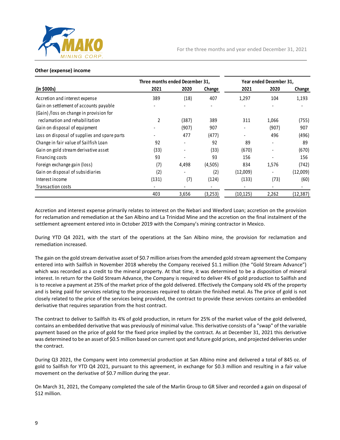

# **Other (expense) income**

| Three months ended December 31,              |       |       |         |           | Year ended December 31, |           |
|----------------------------------------------|-------|-------|---------|-----------|-------------------------|-----------|
| (in \$000s)                                  | 2021  | 2020  | Change  | 2021      | 2020                    | Change    |
| Accretion and interest expense               | 389   | (18)  | 407     | 1,297     | 104                     | 1,193     |
| Gain on settlement of accounts payable       |       |       |         |           |                         |           |
| (Gain) /loss on change in provision for      |       |       |         |           |                         |           |
| reclamation and rehabilitation               | 2     | (387) | 389     | 311       | 1,066                   | (755)     |
| Gain on disposal of equipment                |       | (907) | 907     |           | (907)                   | 907       |
| Loss on disposal of supplies and spare parts |       | 477   | (477)   |           | 496                     | (496)     |
| Change in fair value of Sailfish Loan        | 92    |       | 92      | 89        | $\blacksquare$          | 89        |
| Gain on gold stream derivative asset         | (33)  |       | (33)    | (670)     |                         | (670)     |
| Financing costs                              | 93    |       | 93      | 156       |                         | 156       |
| Foreign exchange gain (loss)                 | (7)   | 4,498 | (4,505) | 834       | 1,576                   | (742)     |
| Gain on disposal of subsidiaries             | (2)   |       | (2)     | (12,009)  |                         | (12,009)  |
| Interest income                              | (131) | (7)   | (124)   | (133)     | (73)                    | (60)      |
| <b>Transaction costs</b>                     |       |       |         |           |                         |           |
|                                              | 403   | 3,656 | (3,253) | (10, 125) | 2,262                   | (12, 387) |

Accretion and interest expense primarily relates to interest on the Nebari and Wexford Loan; accretion on the provision for reclamation and remediation at the San Albino and La Trinidad Mine and the accretion on the final instalment of the settlement agreement entered into in October 2019 with the Company's mining contractor in Mexico.

During YTD Q4 2021, with the start of the operations at the San Albino mine, the provision for reclamation and remediation increased.

The gain on the gold stream derivative asset of \$0.7 million arises from the amended gold stream agreement the Company entered into with Sailfish in November 2018 whereby the Company received \$1.1 million (the "Gold Stream Advance") which was recorded as a credit to the mineral property. At that time, it was determined to be a disposition of mineral interest. In return for the Gold Stream Advance, the Company is required to deliver 4% of gold production to Sailfish and is to receive a payment at 25% of the market price of the gold delivered. Effectively the Company sold 4% of the property and is being paid for services relating to the processes required to obtain the finished metal. As The price of gold is not closely related to the price of the services being provided, the contract to provide these services contains an embedded derivative that requires separation from the host contract.

The contract to deliver to Sailfish its 4% of gold production, in return for 25% of the market value of the gold delivered, contains an embedded derivative that was previously of minimal value. This derivative consists of a "swap" of the variable payment based on the price of gold for the fixed price implied by the contract. As at December 31, 2021 this derivative was determined to be an asset of \$0.5 million based on current spot and future gold prices, and projected deliveries under the contract.

During Q3 2021, the Company went into commercial production at San Albino mine and delivered a total of 845 oz. of gold to Sailfish for YTD Q4 2021, pursuant to this agreement, in exchange for \$0.3 million and resulting in a fair value movement on the derivative of \$0.7 million during the year.

On March 31, 2021, the Company completed the sale of the Marlin Group to GR Silver and recorded a gain on disposal of \$12 million.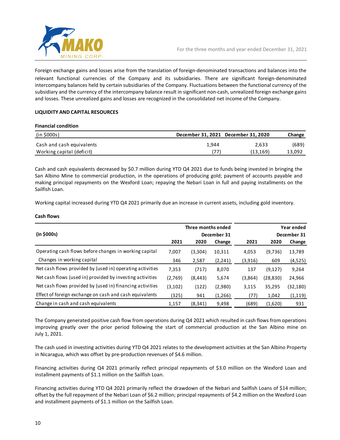

Foreign exchange gains and losses arise from the translation of foreign-denominated transactions and balances into the relevant functional currencies of the Company and its subsidiaries. There are significant foreign-denominated intercompany balances held by certain subsidiaries of the Company. Fluctuations between the functional currency of the subsidiary and the currency of the intercompany balance result in significant non-cash, unrealized foreign exchange gains and losses. These unrealized gains and losses are recognized in the consolidated net income of the Company.

## **LIQUIDITY AND CAPITAL RESOURCES**

#### **Financial condition**

| (in \$000s)               |       | December 31, 2021 December 31, 2020 | Change |
|---------------------------|-------|-------------------------------------|--------|
| Cash and cash equivalents | 1.944 | 2.633                               | (689)  |
| Working capital (deficit) |       | (13,169)                            | 13,092 |

Cash and cash equivalents decreased by \$0.7 million during YTD Q4 2021 due to funds being invested in bringing the San Albino Mine to commercial production, in the operations of producing gold; payment of accounts payable and making principal repayments on the Wexford Loan; repaying the Nebari Loan in full and paying installments on the Sailfish Loan.

Working capital increased during YTD Q4 2021 primarily due an increase in current assets, including gold inventory.

#### **Cash flows**

| (in \$000s)                                               | Three months ended<br>December 31 |          |          | Year ended<br>December 31 |           |           |  |
|-----------------------------------------------------------|-----------------------------------|----------|----------|---------------------------|-----------|-----------|--|
|                                                           | 2021                              | 2020     | Change   | 2021                      | 2020      | Change    |  |
| Operating cash flows before changes in working capital    | 7,007                             | (3,304)  | 10,311   | 4,053                     | (9,736)   | 13,789    |  |
| Changes in working capital                                | 346                               | 2,587    | (2, 241) | (3,916)                   | 609       | (4, 525)  |  |
| Net cash flows provided by (used in) operating activities | 7,353                             | (717)    | 8,070    | 137                       | (9, 127)  | 9,264     |  |
| Net cash flows (used in) provided by investing activities | (2,769)                           | (8, 443) | 5,674    | (3,864)                   | (28, 830) | 24,966    |  |
| Net cash flows provided by (used in) financing activities | (3, 102)                          | (122)    | (2,980)  | 3,115                     | 35,295    | (32, 180) |  |
| Effect of foreign exchange on cash and cash equivalents   | (325)                             | 941      | (1,266)  | (77)                      | 1,042     | (1, 119)  |  |
| Change in cash and cash equivalents                       | 1,157                             | (8, 341) | 9,498    | (689)                     | (1,620)   | 931       |  |

The Company generated positive cash flow from operations during Q4 2021 which resulted in cash flows from operations improving greatly over the prior period following the start of commercial production at the San Albino mine on July 1, 2021.

The cash used in investing activities during YTD Q4 2021 relates to the development activities at the San Albino Property in Nicaragua, which was offset by pre-production revenues of \$4.6 million.

Financing activities during Q4 2021 primarily reflect principal repayments of \$3.0 million on the Wexford Loan and installment payments of \$1.1 million on the Sailfish Loan.

Financing activities during YTD Q4 2021 primarily reflect the drawdown of the Nebari and Sailfish Loans of \$14 million; offset by the full repayment of the Nebari Loan of \$6.2 million; principal repayments of \$4.2 million on the Wexford Loan and installment payments of \$1.1 million on the Sailfish Loan.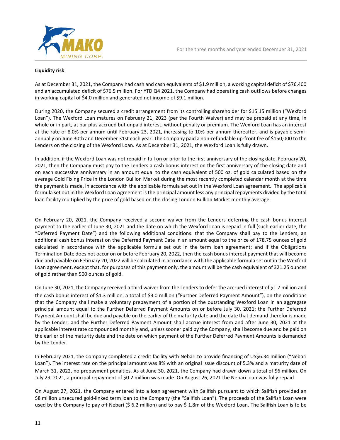

## **Liquidity risk**

As at December 31, 2021, the Company had cash and cash equivalents of \$1.9 million, a working capital deficit of \$76,400 and an accumulated deficit of \$76.5 million. For YTD Q4 2021, the Company had operating cash outflows before changes in working capital of \$4.0 million and generated net income of \$9.1 million.

During 2020, the Company secured a credit arrangement from its controlling shareholder for \$15.15 million ("Wexford Loan"). The Wexford Loan matures on February 21, 2023 (per the Fourth Waiver) and may be prepaid at any time, in whole or in part, at par plus accrued but unpaid interest, without penalty or premium. The Wexford Loan has an interest at the rate of 8.0% per annum until February 23, 2021, increasing to 10% per annum thereafter, and is payable semiannually on June 30th and December 31st each year. The Company paid a non-refundable up-front fee of \$150,000 to the Lenders on the closing of the Wexford Loan. As at December 31, 2021, the Wexford Loan is fully drawn.

In addition, if the Wexford Loan was not repaid in full on or prior to the first anniversary of the closing date, February 20, 2021, then the Company must pay to the Lenders a cash bonus interest on the first anniversary of the closing date and on each successive anniversary in an amount equal to the cash equivalent of 500 oz. of gold calculated based on the average Gold Fixing Price in the London Bullion Market during the most recently completed calendar month at the time the payment is made, in accordance with the applicable formula set out in the Wexford Loan agreement. The applicable formula set out in the Wexford Loan Agreement is the principal amount less any principal repayments divided by the total loan facility multiplied by the price of gold based on the closing London Bullion Market monthly average.

On February 20, 2021, the Company received a second waiver from the Lenders deferring the cash bonus interest payment to the earlier of June 30, 2021 and the date on which the Wexford Loan is repaid in full (such earlier date, the "Deferred Payment Date") and the following additional conditions: that the Company shall pay to the Lenders, an additional cash bonus interest on the Deferred Payment Date in an amount equal to the price of 178.75 ounces of gold calculated in accordance with the applicable formula set out in the term loan agreement; and if the Obligations Termination Date does not occur on or before February 20, 2022, then the cash bonus interest payment that will become due and payable on February 20, 2022 will be calculated in accordance with the applicable formula set out in the Wexford Loan agreement, except that, for purposes of this payment only, the amount will be the cash equivalent of 321.25 ounces of gold rather than 500 ounces of gold.

On June 30, 2021, the Company received a third waiver from the Lenders to defer the accrued interest of \$1.7 million and the cash bonus interest of \$1.3 million, a total of \$3.0 million ("Further Deferred Payment Amount"), on the conditions that the Company shall make a voluntary prepayment of a portion of the outstanding Wexford Loan in an aggregate principal amount equal to the Further Deferred Payment Amounts on or before July 30, 2021; the Further Deferred Payment Amount shall be due and payable on the earlier of the maturity date and the date that demand therefor is made by the Lender; and the Further Deferred Payment Amount shall accrue interest from and after June 30, 2021 at the applicable interest rate compounded monthly and, unless sooner paid by the Company, shall become due and be paid on the earlier of the maturity date and the date on which payment of the Further Deferred Payment Amounts is demanded by the Lender.

In February 2021, the Company completed a credit facility with Nebari to provide financing of US\$6.34 million ("Nebari Loan"). The interest rate on the principal amount was 8% with an original issue discount of 5.3% and a maturity date of March 31, 2022, no prepayment penalties. As at June 30, 2021, the Company had drawn down a total of \$6 million. On July 29, 2021, a principal repayment of \$0.2 million was made. On August 26, 2021 the Nebari loan was fully repaid.

On August 27, 2021, the Company entered into a loan agreement with Sailfish pursuant to which Sailfish provided an \$8 million unsecured gold-linked term loan to the Company (the "Sailfish Loan"). The proceeds of the Sailfish Loan were used by the Company to pay off Nebari (\$ 6.2 million) and to pay \$ 1.8m of the Wexford Loan. The Sailfish Loan is to be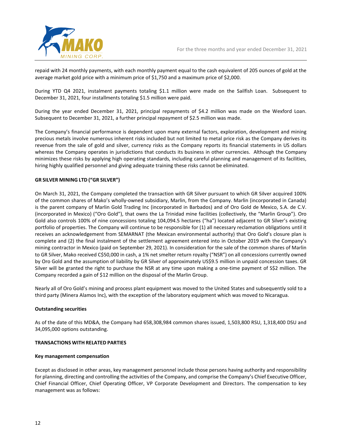

repaid with 24 monthly payments, with each monthly payment equal to the cash equivalent of 205 ounces of gold at the average market gold price with a minimum price of \$1,750 and a maximum price of \$2,000.

During YTD Q4 2021, instalment payments totaling \$1.1 million were made on the Sailfish Loan. Subsequent to December 31, 2021, four installments totaling \$1.5 million were paid.

During the year ended December 31, 2021, principal repayments of \$4.2 million was made on the Wexford Loan. Subsequent to December 31, 2021, a further principal repayment of \$2.5 million was made.

The Company's financial performance is dependent upon many external factors, exploration, development and mining precious metals involve numerous inherent risks included but not limited to metal price risk as the Company derives its revenue from the sale of gold and silver, currency risks as the Company reports its financial statements in US dollars whereas the Company operates in jurisdictions that conducts its business in other currencies. Although the Company minimizes these risks by applying high operating standards, including careful planning and management of its facilities, hiring highly qualified personnel and giving adequate training these risks cannot be eliminated.

## **GR SILVER MINING LTD ("GR SILVER")**

On March 31, 2021, the Company completed the transaction with GR Silver pursuant to which GR Silver acquired 100% of the common shares of Mako's wholly-owned subsidiary, Marlin, from the Company. Marlin (incorporated in Canada) is the parent company of Marlin Gold Trading Inc (incorporated in Barbados) and of Oro Gold de Mexico, S.A. de C.V. (incorporated in Mexico) ("Oro Gold"), that owns the La Trinidad mine facilities (collectively, the "Marlin Group"). Oro Gold also controls 100% of nine concessions totaling 104,094.5 hectares ("ha") located adjacent to GR Silver's existing portfolio of properties. The Company will continue to be responsible for (1) all necessary reclamation obligations until it receives an acknowledgement from SEMARNAT (the Mexican environmental authority) that Oro Gold's closure plan is complete and (2) the final instalment of the settlement agreement entered into in October 2019 with the Company's mining contractor in Mexico (paid on September 29, 2021). In consideration for the sale of the common shares of Marlin to GR Silver, Mako received C\$50,000 in cash, a 1% net smelter return royalty ("NSR") on all concessions currently owned by Oro Gold and the assumption of liability by GR Silver of approximately US\$9.5 million in unpaid concession taxes. GR Silver will be granted the right to purchase the NSR at any time upon making a one-time payment of S\$2 million. The Company recorded a gain of \$12 million on the disposal of the Marlin Group.

Nearly all of Oro Gold's mining and process plant equipment was moved to the United States and subsequently sold to a third party (Minera Alamos Inc), with the exception of the laboratory equipment which was moved to Nicaragua.

## **Outstanding securities**

As of the date of this MD&A, the Company had 658,308,984 common shares issued, 1,503,800 RSU, 1,318,400 DSU and 34,095,000 options outstanding.

#### **TRANSACTIONS WITH RELATED PARTIES**

#### **Key management compensation**

Except as disclosed in other areas, key management personnel include those persons having authority and responsibility for planning, directing and controlling the activities of the Company, and comprise the Company's Chief Executive Officer, Chief Financial Officer, Chief Operating Officer, VP Corporate Development and Directors. The compensation to key management was as follows: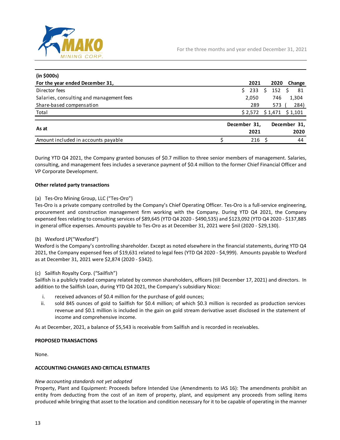

| (in \$000s)                              |                            |           |              |
|------------------------------------------|----------------------------|-----------|--------------|
| For the year ended December 31,          | 2021                       | 2020      | Change       |
| Director fees                            | 233                        | Ŝ.<br>152 | Ŝ<br>-81     |
| Salaries, consulting and management fees | 2,050                      | 746       | 1,304        |
| Share-based compensation                 | 289                        | 573       | 284)         |
| Total                                    | $$2,572$ $$1,471$ $$1,101$ |           |              |
| As at                                    | December 31,               |           | December 31, |
|                                          | 2021                       |           | 2020         |
| Amount included in accounts payable      | 216                        |           | 44           |

During YTD Q4 2021, the Company granted bonuses of \$0.7 million to three senior members of management. Salaries, consulting, and management fees includes a severance payment of \$0.4 million to the former Chief Financial Officer and VP Corporate Development.

# **Other related party transactions**

# (a) Tes-Oro Mining Group, LLC ("Tes-Oro")

Tes-Oro is a private company controlled by the Company's Chief Operating Officer. Tes-Oro is a full-service engineering, procurement and construction management firm working with the Company. During YTD Q4 2021, the Company expensed fees relating to consulting services of \$89,645 (YTD Q4 2020 - \$490,535) and \$123,092 (YTD Q4 2020 - \$137,885 in general office expenses. Amounts payable to Tes-Oro as at December 31, 2021 were \$nil (2020 - \$29,130).

## (b) Wexford LP("Wexford")

Wexford is the Company's controlling shareholder. Except as noted elsewhere in the financial statements, during YTD Q4 2021, the Company expensed fees of \$19,631 related to legal fees (YTD Q4 2020 - \$4,999). Amounts payable to Wexford as at December 31, 2021 were \$2,874 (2020 - \$342).

## (c) Sailfish Royalty Corp. ("Sailfish")

Sailfish is a publicly traded company related by common shareholders, officers (till December 17, 2021) and directors. In addition to the Sailfish Loan, during YTD Q4 2021, the Company's subsidiary Nicoz:

- i. received advances of \$0.4 million for the purchase of gold ounces;
- ii. sold 845 ounces of gold to Sailfish for \$0.4 million; of which \$0.3 million is recorded as production services revenue and \$0.1 million is included in the gain on gold stream derivative asset disclosed in the statement of income and comprehensive income.

As at December, 2021, a balance of \$5,543 is receivable from Sailfish and is recorded in receivables.

## **PROPOSED TRANSACTIONS**

None.

## **ACCOUNTING CHANGES AND CRITICAL ESTIMATES**

## *New accounting standards not yet adopted*

Property, Plant and Equipment: Proceeds before Intended Use (Amendments to IAS 16): The amendments prohibit an entity from deducting from the cost of an item of property, plant, and equipment any proceeds from selling items produced while bringing that asset to the location and condition necessary for it to be capable of operating in the manner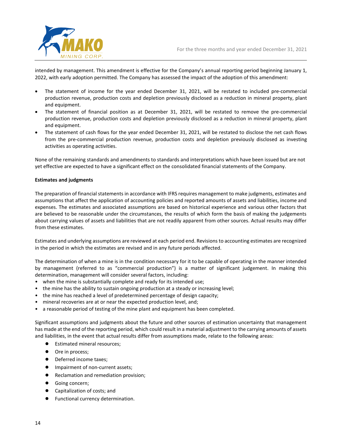

intended by management. This amendment is effective for the Company's annual reporting period beginning January 1, 2022, with early adoption permitted. The Company has assessed the impact of the adoption of this amendment:

- The statement of income for the year ended December 31, 2021, will be restated to included pre-commercial production revenue, production costs and depletion previously disclosed as a reduction in mineral property, plant and equipment.
- The statement of financial position as at December 31, 2021, will be restated to remove the pre-commercial production revenue, production costs and depletion previously disclosed as a reduction in mineral property, plant and equipment.
- The statement of cash flows for the year ended December 31, 2021, will be restated to disclose the net cash flows from the pre-commercial production revenue, production costs and depletion previously disclosed as investing activities as operating activities.

None of the remaining standards and amendments to standards and interpretations which have been issued but are not yet effective are expected to have a significant effect on the consolidated financial statements of the Company.

#### **Estimates and judgments**

The preparation of financial statements in accordance with IFRS requires management to make judgments, estimates and assumptions that affect the application of accounting policies and reported amounts of assets and liabilities, income and expenses. The estimates and associated assumptions are based on historical experience and various other factors that are believed to be reasonable under the circumstances, the results of which form the basis of making the judgements about carrying values of assets and liabilities that are not readily apparent from other sources. Actual results may differ from these estimates.

Estimates and underlying assumptions are reviewed at each period end. Revisions to accounting estimates are recognized in the period in which the estimates are revised and in any future periods affected.

The determination of when a mine is in the condition necessary for it to be capable of operating in the manner intended by management (referred to as "commercial production") is a matter of significant judgement. In making this determination, management will consider several factors, including:

- when the mine is substantially complete and ready for its intended use;
- the mine has the ability to sustain ongoing production at a steady or increasing level;
- the mine has reached a level of predetermined percentage of design capacity;
- mineral recoveries are at or near the expected production level, and;
- a reasonable period of testing of the mine plant and equipment has been completed.

Significant assumptions and judgments about the future and other sources of estimation uncertainty that management has made at the end of the reporting period, which could result in a material adjustment to the carrying amounts of assets and liabilities, in the event that actual results differ from assumptions made, relate to the following areas:

- Estimated mineral resources;
- Ore in process;
- Deferred income taxes;
- Impairment of non-current assets;
- Reclamation and remediation provision;
- Going concern;
- Capitalization of costs; and
- Functional currency determination.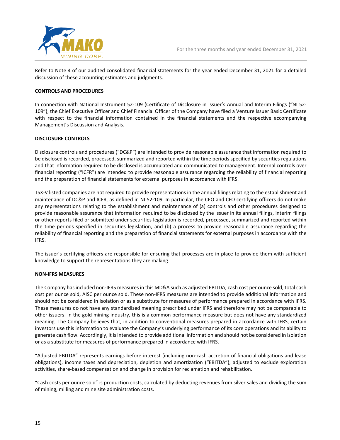

Refer to Note 4 of our audited consolidated financial statements for the year ended December 31, 2021 for a detailed discussion of these accounting estimates and judgments.

## **CONTROLS AND PROCEDURES**

In connection with National Instrument 52-109 (Certificate of Disclosure in Issuer's Annual and Interim Filings ("NI 52- 109"), the Chief Executive Officer and Chief Financial Officer of the Company have filed a Venture Issuer Basic Certificate with respect to the financial information contained in the financial statements and the respective accompanying Management's Discussion and Analysis.

#### **DISCLOSURE CONTROLS**

Disclosure controls and procedures ("DC&P") are intended to provide reasonable assurance that information required to be disclosed is recorded, processed, summarized and reported within the time periods specified by securities regulations and that information required to be disclosed is accumulated and communicated to management. Internal controls over financial reporting ("ICFR") are intended to provide reasonable assurance regarding the reliability of financial reporting and the preparation of financial statements for external purposes in accordance with IFRS.

TSX-V listed companies are not required to provide representations in the annual filings relating to the establishment and maintenance of DC&P and ICFR, as defined in NI 52-109. In particular, the CEO and CFO certifying officers do not make any representations relating to the establishment and maintenance of (a) controls and other procedures designed to provide reasonable assurance that information required to be disclosed by the issuer in its annual filings, interim filings or other reports filed or submitted under securities legislation is recorded, processed, summarized and reported within the time periods specified in securities legislation, and (b) a process to provide reasonable assurance regarding the reliability of financial reporting and the preparation of financial statements for external purposes in accordance with the IFRS.

The issuer's certifying officers are responsible for ensuring that processes are in place to provide them with sufficient knowledge to support the representations they are making.

#### **NON-IFRS MEASURES**

The Company has included non-IFRS measures in this MD&A such as adjusted EBITDA, cash cost per ounce sold, total cash cost per ounce sold, AISC per ounce sold. These non-IFRS measures are intended to provide additional information and should not be considered in isolation or as a substitute for measures of performance prepared in accordance with IFRS. These measures do not have any standardized meaning prescribed under IFRS and therefore may not be comparable to other issuers. In the gold mining industry, this is a common performance measure but does not have any standardized meaning. The Company believes that, in addition to conventional measures prepared in accordance with IFRS, certain investors use this information to evaluate the Company's underlying performance of its core operations and its ability to generate cash flow. Accordingly, it is intended to provide additional information and should not be considered in isolation or as a substitute for measures of performance prepared in accordance with IFRS.

"Adjusted EBITDA" represents earnings before interest (including non-cash accretion of financial obligations and lease obligations), income taxes and depreciation, depletion and amortization ("EBITDA"), adjusted to exclude exploration activities, share-based compensation and change in provision for reclamation and rehabilitation.

"Cash costs per ounce sold" is production costs, calculated by deducting revenues from silver sales and dividing the sum of mining, milling and mine site administration costs.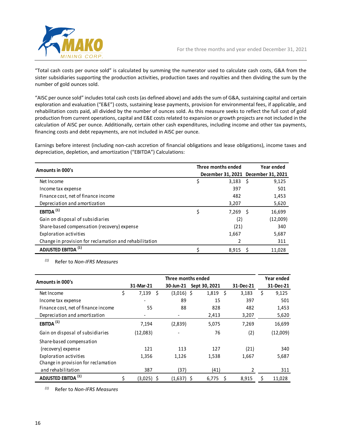

"Total cash costs per ounce sold" is calculated by summing the numerator used to calculate cash costs, G&A from the sister subsidiaries supporting the production activities, production taxes and royalties and then dividing the sum by the number of gold ounces sold.

"AISC per ounce sold" includes total cash costs (as defined above) and adds the sum of G&A, sustaining capital and certain exploration and evaluation ("E&E") costs, sustaining lease payments, provision for environmental fees, if applicable, and rehabilitation costs paid, all divided by the number of ounces sold. As this measure seeks to reflect the full cost of gold production from current operations, capital and E&E costs related to expansion or growth projects are not included in the calculation of AISC per ounce. Additionally, certain other cash expenditures, including income and other tax payments, financing costs and debt repayments, are not included in AISC per ounce.

Earnings before interest (including non-cash accretion of financial obligations and lease obligations), income taxes and depreciation, depletion, and amortization ("EBITDA") Calculations:

| Amounts in 000's                                       | Three months ended                  |     | Year ended |
|--------------------------------------------------------|-------------------------------------|-----|------------|
|                                                        | December 31, 2021 December 31, 2021 |     |            |
| Net Income                                             | 3,183                               | - S | 9,125      |
| Income tax expense                                     | 397                                 |     | 501        |
| Finance cost, net of finance income                    | 482                                 |     | 1,453      |
| Depreciation and amortization                          | 3,207                               |     | 5,620      |
| EBITDA $(1)$                                           | 7.269                               | -S  | 16,699     |
| Gain on disposal of subsidiaries                       | (2)                                 |     | (12,009)   |
| Share-based compensation (recovery) expense            | (21)                                |     | 340        |
| Exploration activities                                 | 1,667                               |     | 5,687      |
| Change in provision for reclamation and rehabilitation |                                     |     | 311        |
| ADJUSTED EBITDA <sup>(1)</sup>                         | 8,915                               |     | 11,028     |

*(1)* Refer to *Non-IFRS Measures*

| Amounts in 000's                    |    | Three months ended |              |               |   |           |    | Year ended |  |
|-------------------------------------|----|--------------------|--------------|---------------|---|-----------|----|------------|--|
|                                     |    | 31-Mar-21          | 30-Jun-21    | Sept 30, 2021 |   | 31-Dec-21 |    | 31-Dec-21  |  |
| Net Income                          | \$ | 7,139<br>Ś         | $(3,016)$ \$ | 1,819         | Ś | 3,183     | \$ | 9,125      |  |
| Income tax expense                  |    |                    | 89           | 15            |   | 397       |    | 501        |  |
| Finance cost, net of finance income |    | 55                 | 88           | 828           |   | 482       |    | 1,453      |  |
| Depreciation and amortization       |    |                    |              | 2,413         |   | 3,207     |    | 5,620      |  |
| EBITDA <sup>(1)</sup>               |    | 7,194              | (2,839)      | 5,075         |   | 7,269     |    | 16,699     |  |
| Gain on disposal of subsidiaries    |    | (12,083)           |              | 76            |   | (2)       |    | (12,009)   |  |
| Share-based compensation            |    |                    |              |               |   |           |    |            |  |
| (recovery) expense                  |    | 121                | 113          | 127           |   | (21)      |    | 340        |  |
| Exploration activities              |    | 1,356              | 1,126        | 1,538         |   | 1,667     |    | 5,687      |  |
| Change in provision for reclamation |    |                    |              |               |   |           |    |            |  |
| and rehabilitation                  |    | 387                | (37)         | (41)          |   | 2         |    | 311        |  |
| ADJUSTED EBITDA <sup>(1)</sup>      |    | (3,025)<br>S       | (1,637)      | 6,775<br>-S   |   | 8,915     | Ś  | 11,028     |  |

*(1)* Refer to *Non-IFRS Measures*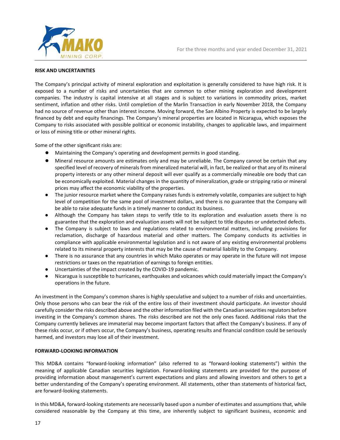

#### **RISK AND UNCERTAINTIES**

The Company's principal activity of mineral exploration and exploitation is generally considered to have high risk. It is exposed to a number of risks and uncertainties that are common to other mining exploration and development companies. The industry is capital intensive at all stages and is subject to variations in commodity prices, market sentiment, inflation and other risks. Until completion of the Marlin Transaction in early November 2018, the Company had no source of revenue other than interest income. Moving forward, the San Albino Property is expected to be largely financed by debt and equity financings. The Company's mineral properties are located in Nicaragua, which exposes the Company to risks associated with possible political or economic instability, changes to applicable laws, and impairment or loss of mining title or other mineral rights.

Some of the other significant risks are:

- Maintaining the Company's operating and development permits in good standing.
- Mineral resource amounts are estimates only and may be unreliable. The Company cannot be certain that any specified level of recovery of minerals from mineralized material will, in fact, be realized or that any of its mineral property interests or any other mineral deposit will ever qualify as a commercially mineable ore body that can be economically exploited. Material changes in the quantity of mineralization, grade or stripping ratio or mineral prices may affect the economic viability of the properties.
- The junior resource market where the Company raises funds is extremely volatile, companies are subject to high level of competition for the same pool of investment dollars, and there is no guarantee that the Company will be able to raise adequate funds in a timely manner to conduct its business.
- Although the Company has taken steps to verify title to its exploration and evaluation assets there is no guarantee that the exploration and evaluation assets will not be subject to title disputes or undetected defects.
- The Company is subject to laws and regulations related to environmental matters, including provisions for reclamation, discharge of hazardous material and other matters. The Company conducts its activities in compliance with applicable environmental legislation and is not aware of any existing environmental problems related to its mineral property interests that may be the cause of material liability to the Company.
- There is no assurance that any countries in which Mako operates or may operate in the future will not impose restrictions or taxes on the repatriation of earnings to foreign entities.
- Uncertainties of the impact created by the COVID-19 pandemic.
- Nicaragua is susceptible to hurricanes, earthquakes and volcanoes which could materially impact the Company's operations in the future.

An investment in the Company's common shares is highly speculative and subject to a number of risks and uncertainties. Only those persons who can bear the risk of the entire loss of their investment should participate. An investor should carefully consider the risks described above and the other information filed with the Canadian securities regulators before investing in the Company's common shares. The risks described are not the only ones faced. Additional risks that the Company currently believes are immaterial may become important factors that affect the Company's business. If any of these risks occur, or if others occur, the Company's business, operating results and financial condition could be seriously harmed, and investors may lose all of their investment.

## **FORWARD-LOOKING INFORMATION**

This MD&A contains "forward-looking information" (also referred to as "forward-looking statements") within the meaning of applicable Canadian securities legislation. Forward-looking statements are provided for the purpose of providing information about management's current expectations and plans and allowing investors and others to get a better understanding of the Company's operating environment. All statements, other than statements of historical fact, are forward-looking statements.

In this MD&A, forward-looking statements are necessarily based upon a number of estimates and assumptions that, while considered reasonable by the Company at this time, are inherently subject to significant business, economic and